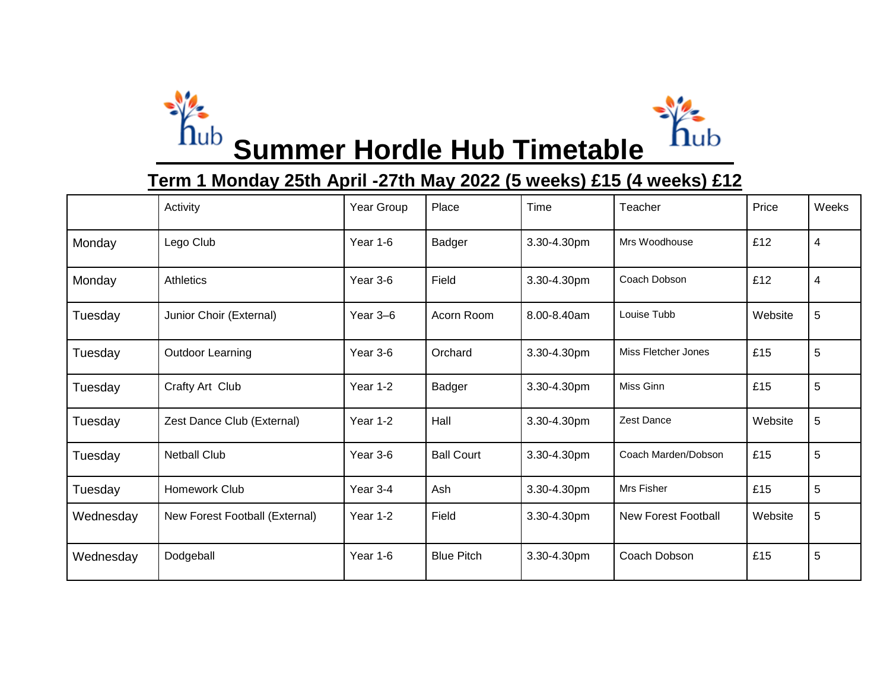



**Summer Hordle Hub Timetable** 

## **Term 1 Monday 25th April -27th May 2022 (5 weeks) £15 (4 weeks) £12**

|           | Activity                       | Year Group | Place             | Time        | Teacher                    | Price   | Weeks          |
|-----------|--------------------------------|------------|-------------------|-------------|----------------------------|---------|----------------|
| Monday    | Lego Club                      | Year 1-6   | Badger            | 3.30-4.30pm | Mrs Woodhouse              | £12     | 4              |
| Monday    | Athletics                      | Year 3-6   | Field             | 3.30-4.30pm | Coach Dobson               | £12     | $\overline{4}$ |
| Tuesday   | Junior Choir (External)        | Year $3-6$ | Acorn Room        | 8.00-8.40am | Louise Tubb                | Website | 5              |
| Tuesday   | <b>Outdoor Learning</b>        | Year 3-6   | Orchard           | 3.30-4.30pm | Miss Fletcher Jones        | £15     | 5              |
| Tuesday   | Crafty Art Club                | Year 1-2   | Badger            | 3.30-4.30pm | Miss Ginn                  | £15     | 5              |
| Tuesday   | Zest Dance Club (External)     | Year 1-2   | Hall              | 3.30-4.30pm | Zest Dance                 | Website | 5              |
| Tuesday   | <b>Netball Club</b>            | Year 3-6   | <b>Ball Court</b> | 3.30-4.30pm | Coach Marden/Dobson        | £15     | 5              |
| Tuesday   | Homework Club                  | Year 3-4   | Ash               | 3.30-4.30pm | Mrs Fisher                 | £15     | 5              |
| Wednesday | New Forest Football (External) | Year 1-2   | Field             | 3.30-4.30pm | <b>New Forest Football</b> | Website | 5              |
| Wednesday | Dodgeball                      | Year 1-6   | <b>Blue Pitch</b> | 3.30-4.30pm | Coach Dobson               | £15     | 5              |